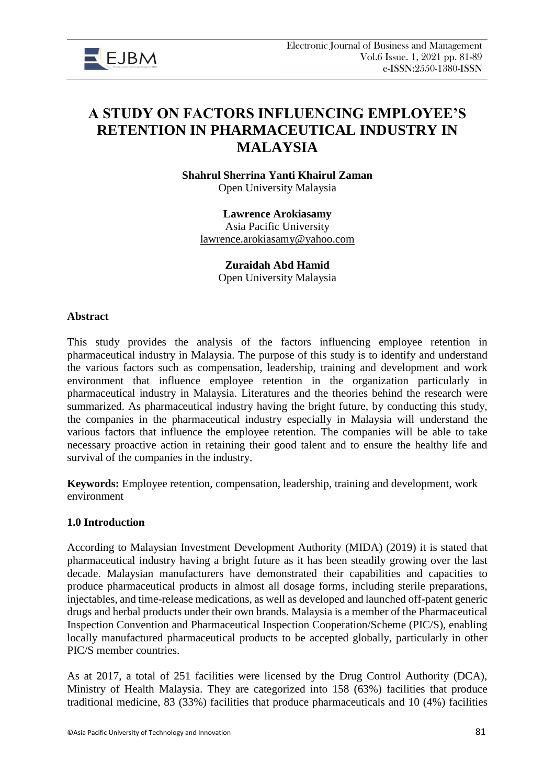

# **A STUDY ON FACTORS INFLUENCING EMPLOYEE'S RETENTION IN PHARMACEUTICAL INDUSTRY IN MALAYSIA**

**Shahrul Sherrina Yanti Khairul Zaman**  Open University Malaysia

**Lawrence Arokiasamy** Asia Pacific University [lawrence.arokiasamy@yahoo.com](mailto:lawrence.arokiasamy@yahoo.com)

> **Zuraidah Abd Hamid** Open University Malaysia

#### **Abstract**

This study provides the analysis of the factors influencing employee retention in pharmaceutical industry in Malaysia. The purpose of this study is to identify and understand the various factors such as compensation, leadership, training and development and work environment that influence employee retention in the organization particularly in pharmaceutical industry in Malaysia. Literatures and the theories behind the research were summarized. As pharmaceutical industry having the bright future, by conducting this study, the companies in the pharmaceutical industry especially in Malaysia will understand the various factors that influence the employee retention. The companies will be able to take necessary proactive action in retaining their good talent and to ensure the healthy life and survival of the companies in the industry.

**Keywords:** Employee retention, compensation, leadership, training and development, work environment

### **1.0 Introduction**

According to Malaysian Investment Development Authority (MIDA) (2019) it is stated that pharmaceutical industry having a bright future as it has been steadily growing over the last decade. Malaysian manufacturers have demonstrated their capabilities and capacities to produce pharmaceutical products in almost all dosage forms, including sterile preparations, injectables, and time-release medications, as well as developed and launched off-patent generic drugs and herbal products under their own brands. Malaysia is a member of the Pharmaceutical Inspection Convention and Pharmaceutical Inspection Cooperation/Scheme (PIC/S), enabling locally manufactured pharmaceutical products to be accepted globally, particularly in other PIC/S member countries.

As at 2017, a total of 251 facilities were licensed by the Drug Control Authority (DCA), Ministry of Health Malaysia. They are categorized into 158 (63%) facilities that produce traditional medicine, 83 (33%) facilities that produce pharmaceuticals and 10 (4%) facilities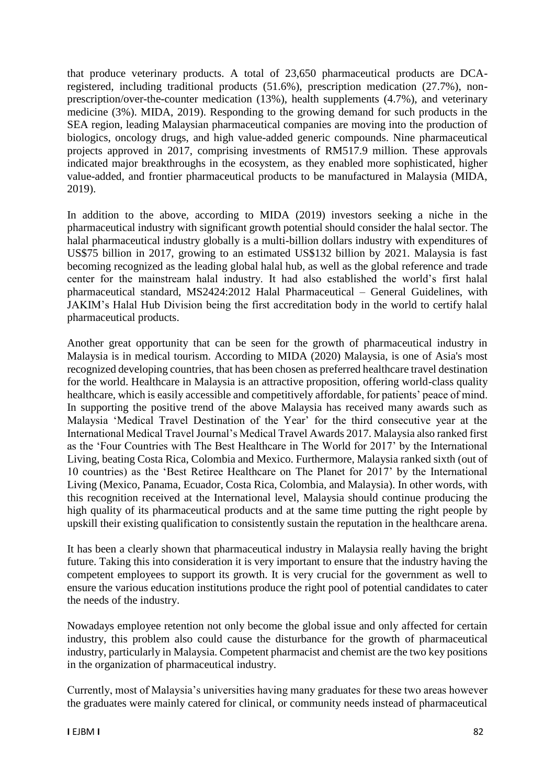that produce veterinary products. A total of 23,650 pharmaceutical products are DCAregistered, including traditional products (51.6%), prescription medication (27.7%), nonprescription/over-the-counter medication (13%), health supplements (4.7%), and veterinary medicine (3%). MIDA, 2019). Responding to the growing demand for such products in the SEA region, leading Malaysian pharmaceutical companies are moving into the production of biologics, oncology drugs, and high value-added generic compounds. Nine pharmaceutical projects approved in 2017, comprising investments of RM517.9 million. These approvals indicated major breakthroughs in the ecosystem, as they enabled more sophisticated, higher value-added, and frontier pharmaceutical products to be manufactured in Malaysia (MIDA, 2019).

In addition to the above, according to MIDA (2019) investors seeking a niche in the pharmaceutical industry with significant growth potential should consider the halal sector. The halal pharmaceutical industry globally is a multi-billion dollars industry with expenditures of US\$75 billion in 2017, growing to an estimated US\$132 billion by 2021. Malaysia is fast becoming recognized as the leading global halal hub, as well as the global reference and trade center for the mainstream halal industry. It had also established the world's first halal pharmaceutical standard, MS2424:2012 Halal Pharmaceutical – General Guidelines, with JAKIM's Halal Hub Division being the first accreditation body in the world to certify halal pharmaceutical products.

Another great opportunity that can be seen for the growth of pharmaceutical industry in Malaysia is in medical tourism. According to MIDA (2020) Malaysia, is one of Asia's most recognized developing countries, that has been chosen as preferred healthcare travel destination for the world. Healthcare in Malaysia is an attractive proposition, offering world-class quality healthcare, which is easily accessible and competitively affordable, for patients' peace of mind. In supporting the positive trend of the above Malaysia has received many awards such as Malaysia 'Medical Travel Destination of the Year' for the third consecutive year at the International Medical Travel Journal's Medical Travel Awards 2017. Malaysia also ranked first as the 'Four Countries with The Best Healthcare in The World for 2017' by the International Living, beating Costa Rica, Colombia and Mexico. Furthermore, Malaysia ranked sixth (out of 10 countries) as the 'Best Retiree Healthcare on The Planet for 2017' by the International Living (Mexico, Panama, Ecuador, Costa Rica, Colombia, and Malaysia). In other words, with this recognition received at the International level, Malaysia should continue producing the high quality of its pharmaceutical products and at the same time putting the right people by upskill their existing qualification to consistently sustain the reputation in the healthcare arena.

It has been a clearly shown that pharmaceutical industry in Malaysia really having the bright future. Taking this into consideration it is very important to ensure that the industry having the competent employees to support its growth. It is very crucial for the government as well to ensure the various education institutions produce the right pool of potential candidates to cater the needs of the industry.

Nowadays employee retention not only become the global issue and only affected for certain industry, this problem also could cause the disturbance for the growth of pharmaceutical industry, particularly in Malaysia. Competent pharmacist and chemist are the two key positions in the organization of pharmaceutical industry.

Currently, most of Malaysia's universities having many graduates for these two areas however the graduates were mainly catered for clinical, or community needs instead of pharmaceutical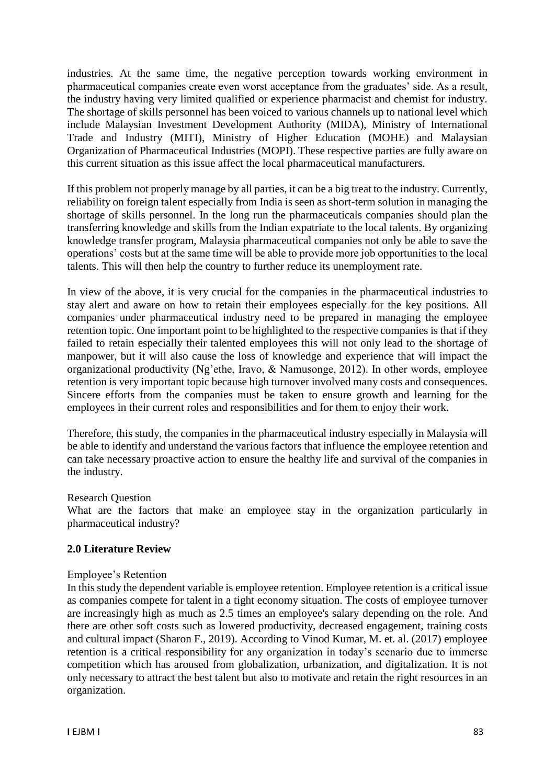industries. At the same time, the negative perception towards working environment in pharmaceutical companies create even worst acceptance from the graduates' side. As a result, the industry having very limited qualified or experience pharmacist and chemist for industry. The shortage of skills personnel has been voiced to various channels up to national level which include Malaysian Investment Development Authority (MIDA), Ministry of International Trade and Industry (MITI), Ministry of Higher Education (MOHE) and Malaysian Organization of Pharmaceutical Industries (MOPI). These respective parties are fully aware on this current situation as this issue affect the local pharmaceutical manufacturers.

If this problem not properly manage by all parties, it can be a big treat to the industry. Currently, reliability on foreign talent especially from India is seen as short-term solution in managing the shortage of skills personnel. In the long run the pharmaceuticals companies should plan the transferring knowledge and skills from the Indian expatriate to the local talents. By organizing knowledge transfer program, Malaysia pharmaceutical companies not only be able to save the operations' costs but at the same time will be able to provide more job opportunities to the local talents. This will then help the country to further reduce its unemployment rate.

In view of the above, it is very crucial for the companies in the pharmaceutical industries to stay alert and aware on how to retain their employees especially for the key positions. All companies under pharmaceutical industry need to be prepared in managing the employee retention topic. One important point to be highlighted to the respective companies is that if they failed to retain especially their talented employees this will not only lead to the shortage of manpower, but it will also cause the loss of knowledge and experience that will impact the organizational productivity (Ng'ethe, Iravo, & Namusonge, 2012). In other words, employee retention is very important topic because high turnover involved many costs and consequences. Sincere efforts from the companies must be taken to ensure growth and learning for the employees in their current roles and responsibilities and for them to enjoy their work.

Therefore, this study, the companies in the pharmaceutical industry especially in Malaysia will be able to identify and understand the various factors that influence the employee retention and can take necessary proactive action to ensure the healthy life and survival of the companies in the industry.

### Research Question

What are the factors that make an employee stay in the organization particularly in pharmaceutical industry?

### **2.0 Literature Review**

### Employee's Retention

In this study the dependent variable is employee retention. Employee retention is a critical issue as companies compete for talent in a tight economy situation. The costs of employee turnover are increasingly high as much as 2.5 times an employee's salary depending on the role. And there are other soft costs such as lowered productivity, decreased engagement, training costs and cultural impact (Sharon F., 2019). According to Vinod Kumar, M. et. al. (2017) employee retention is a critical responsibility for any organization in today's scenario due to immerse competition which has aroused from globalization, urbanization, and digitalization. It is not only necessary to attract the best talent but also to motivate and retain the right resources in an organization.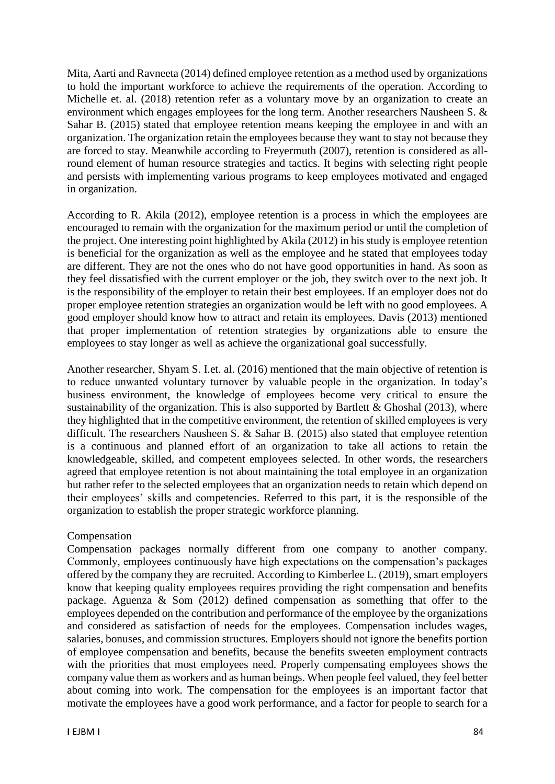Mita, Aarti and Ravneeta (2014) defined employee retention as a method used by organizations to hold the important workforce to achieve the requirements of the operation. According to Michelle et. al. (2018) retention refer as a voluntary move by an organization to create an environment which engages employees for the long term. Another researchers Nausheen S. & Sahar B. (2015) stated that employee retention means keeping the employee in and with an organization. The organization retain the employees because they want to stay not because they are forced to stay. Meanwhile according to Freyermuth (2007), retention is considered as allround element of human resource strategies and tactics. It begins with selecting right people and persists with implementing various programs to keep employees motivated and engaged in organization.

According to R. Akila (2012), employee retention is a process in which the employees are encouraged to remain with the organization for the maximum period or until the completion of the project. One interesting point highlighted by Akila (2012) in his study is employee retention is beneficial for the organization as well as the employee and he stated that employees today are different. They are not the ones who do not have good opportunities in hand. As soon as they feel dissatisfied with the current employer or the job, they switch over to the next job. It is the responsibility of the employer to retain their best employees. If an employer does not do proper employee retention strategies an organization would be left with no good employees. A good employer should know how to attract and retain its employees. Davis (2013) mentioned that proper implementation of retention strategies by organizations able to ensure the employees to stay longer as well as achieve the organizational goal successfully.

Another researcher, Shyam S. I.et. al. (2016) mentioned that the main objective of retention is to reduce unwanted voluntary turnover by valuable people in the organization. In today's business environment, the knowledge of employees become very critical to ensure the sustainability of the organization. This is also supported by Bartlett  $&$  Ghoshal (2013), where they highlighted that in the competitive environment, the retention of skilled employees is very difficult. The researchers Nausheen S. & Sahar B. (2015) also stated that employee retention is a continuous and planned effort of an organization to take all actions to retain the knowledgeable, skilled, and competent employees selected. In other words, the researchers agreed that employee retention is not about maintaining the total employee in an organization but rather refer to the selected employees that an organization needs to retain which depend on their employees' skills and competencies. Referred to this part, it is the responsible of the organization to establish the proper strategic workforce planning.

# Compensation

Compensation packages normally different from one company to another company. Commonly, employees continuously have high expectations on the compensation's packages offered by the company they are recruited. According to Kimberlee L. (2019), smart employers know that keeping quality employees requires providing the right compensation and benefits package. Aguenza & Som (2012) defined compensation as something that offer to the employees depended on the contribution and performance of the employee by the organizations and considered as satisfaction of needs for the employees. Compensation includes wages, salaries, bonuses, and commission structures. Employers should not ignore the benefits portion of employee compensation and benefits, because the benefits sweeten employment contracts with the priorities that most employees need. Properly compensating employees shows the company value them as workers and as human beings. When people feel valued, they feel better about coming into work. The compensation for the employees is an important factor that motivate the employees have a good work performance, and a factor for people to search for a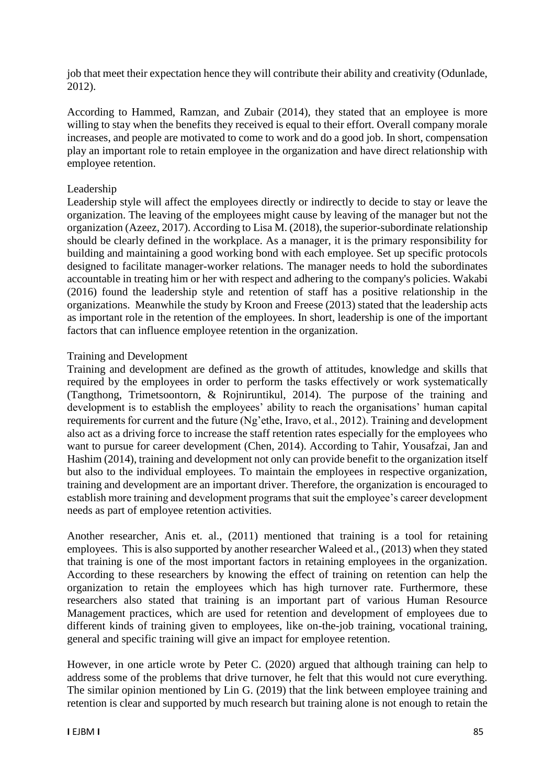job that meet their expectation hence they will contribute their ability and creativity (Odunlade, 2012).

According to Hammed, Ramzan, and Zubair (2014), they stated that an employee is more willing to stay when the benefits they received is equal to their effort. Overall company morale increases, and people are motivated to come to work and do a good job. In short, compensation play an important role to retain employee in the organization and have direct relationship with employee retention.

## Leadership

Leadership style will affect the employees directly or indirectly to decide to stay or leave the organization. The leaving of the employees might cause by leaving of the manager but not the organization (Azeez, 2017). According to Lisa M. (2018), the superior-subordinate relationship should be clearly defined in the workplace. As a manager, it is the primary responsibility for building and maintaining a good working bond with each employee. Set up specific protocols designed to facilitate manager-worker relations. The manager needs to hold the subordinates accountable in treating him or her with respect and adhering to the company's policies. Wakabi (2016) found the leadership style and retention of staff has a positive relationship in the organizations. Meanwhile the study by Kroon and Freese (2013) stated that the leadership acts as important role in the retention of the employees. In short, leadership is one of the important factors that can influence employee retention in the organization.

## Training and Development

Training and development are defined as the growth of attitudes, knowledge and skills that required by the employees in order to perform the tasks effectively or work systematically (Tangthong, Trimetsoontorn, & Rojniruntikul, 2014). The purpose of the training and development is to establish the employees' ability to reach the organisations' human capital requirements for current and the future (Ng'ethe, Iravo, et al., 2012). Training and development also act as a driving force to increase the staff retention rates especially for the employees who want to pursue for career development (Chen, 2014). According to Tahir, Yousafzai, Jan and Hashim (2014), training and development not only can provide benefit to the organization itself but also to the individual employees. To maintain the employees in respective organization, training and development are an important driver. Therefore, the organization is encouraged to establish more training and development programs that suit the employee's career development needs as part of employee retention activities.

Another researcher, Anis et. al., (2011) mentioned that training is a tool for retaining employees. This is also supported by another researcher Waleed et al., (2013) when they stated that training is one of the most important factors in retaining employees in the organization. According to these researchers by knowing the effect of training on retention can help the organization to retain the employees which has high turnover rate. Furthermore, these researchers also stated that training is an important part of various Human Resource Management practices, which are used for retention and development of employees due to different kinds of training given to employees, like on-the-job training, vocational training, general and specific training will give an impact for employee retention.

However, in one article wrote by Peter C. (2020) argued that although training can help to address some of the problems that drive turnover, he felt that this would not cure everything. The similar opinion mentioned by Lin G. (2019) that the link between employee training and retention is clear and supported by much research but training alone is not enough to retain the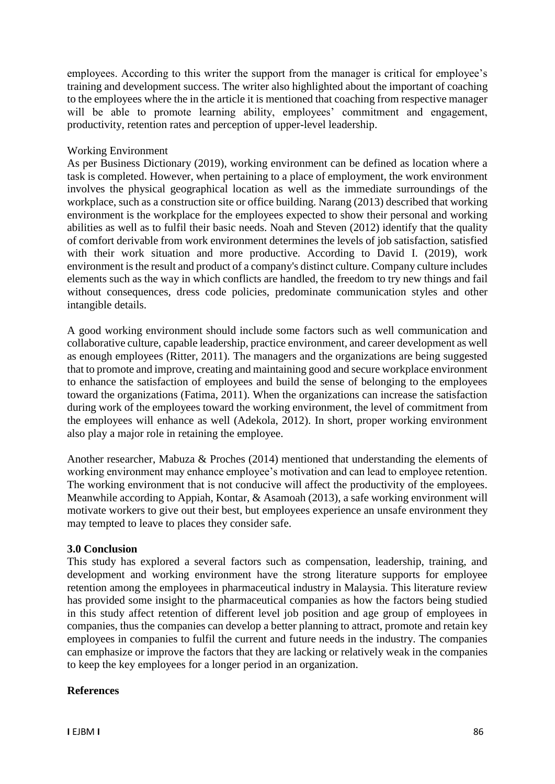employees. According to this writer the support from the manager is critical for employee's training and development success. The writer also highlighted about the important of coaching to the employees where the in the article it is mentioned that coaching from respective manager will be able to promote learning ability, employees' commitment and engagement, productivity, retention rates and perception of upper-level leadership.

## Working Environment

As per Business Dictionary (2019), working environment can be defined as location where a task is completed. However, when pertaining to a place of employment, the work environment involves the physical geographical location as well as the immediate surroundings of the workplace, such as a construction site or office building. Narang (2013) described that working environment is the workplace for the employees expected to show their personal and working abilities as well as to fulfil their basic needs. Noah and Steven (2012) identify that the quality of comfort derivable from work environment determines the levels of job satisfaction, satisfied with their work situation and more productive. According to David I. (2019), work environment is the result and product of a company's distinct culture. Company culture includes elements such as the way in which conflicts are handled, the freedom to try new things and fail without consequences, dress code policies, predominate communication styles and other intangible details.

A good working environment should include some factors such as well communication and collaborative culture, capable leadership, practice environment, and career development as well as enough employees (Ritter, 2011). The managers and the organizations are being suggested that to promote and improve, creating and maintaining good and secure workplace environment to enhance the satisfaction of employees and build the sense of belonging to the employees toward the organizations (Fatima, 2011). When the organizations can increase the satisfaction during work of the employees toward the working environment, the level of commitment from the employees will enhance as well (Adekola, 2012). In short, proper working environment also play a major role in retaining the employee.

Another researcher, Mabuza & Proches (2014) mentioned that understanding the elements of working environment may enhance employee's motivation and can lead to employee retention. The working environment that is not conducive will affect the productivity of the employees. Meanwhile according to Appiah, Kontar, & Asamoah (2013), a safe working environment will motivate workers to give out their best, but employees experience an unsafe environment they may tempted to leave to places they consider safe.

# **3.0 Conclusion**

This study has explored a several factors such as compensation, leadership, training, and development and working environment have the strong literature supports for employee retention among the employees in pharmaceutical industry in Malaysia. This literature review has provided some insight to the pharmaceutical companies as how the factors being studied in this study affect retention of different level job position and age group of employees in companies, thus the companies can develop a better planning to attract, promote and retain key employees in companies to fulfil the current and future needs in the industry. The companies can emphasize or improve the factors that they are lacking or relatively weak in the companies to keep the key employees for a longer period in an organization.

# **References**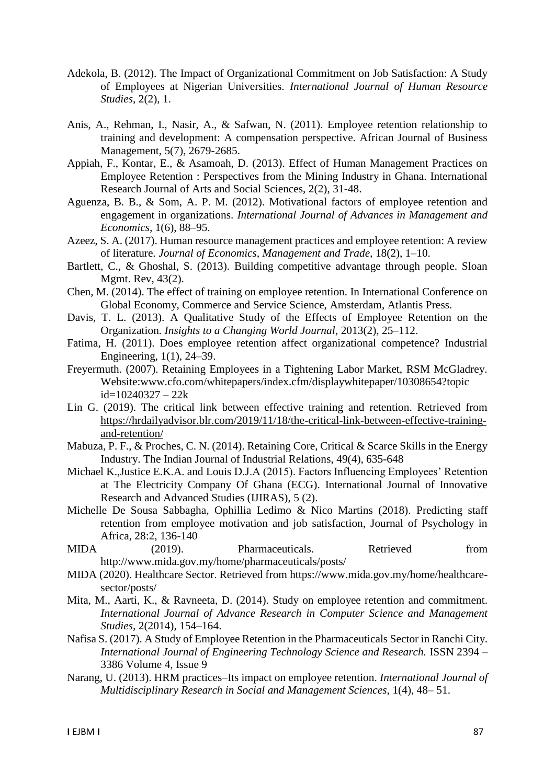- Adekola, B. (2012). The Impact of Organizational Commitment on Job Satisfaction: A Study of Employees at Nigerian Universities. *International Journal of Human Resource Studies,* 2(2), 1.
- Anis, A., Rehman, I., Nasir, A., & Safwan, N. (2011). Employee retention relationship to training and development: A compensation perspective. African Journal of Business Management, 5(7), 2679-2685.
- Appiah, F., Kontar, E., & Asamoah, D. (2013). Effect of Human Management Practices on Employee Retention : Perspectives from the Mining Industry in Ghana. International Research Journal of Arts and Social Sciences, 2(2), 31-48.
- Aguenza, B. B., & Som, A. P. M. (2012). Motivational factors of employee retention and engagement in organizations. *International Journal of Advances in Management and Economics,* 1(6), 88–95.
- Azeez, S. A. (2017). Human resource management practices and employee retention: A review of literature. *Journal of Economics, Management and Trade,* 18(2), 1–10.
- Bartlett, C., & Ghoshal, S. (2013). Building competitive advantage through people. Sloan Mgmt. Rev, 43(2).
- Chen, M. (2014). The effect of training on employee retention. In International Conference on Global Economy, Commerce and Service Science, Amsterdam, Atlantis Press.
- Davis, T. L. (2013). A Qualitative Study of the Effects of Employee Retention on the Organization. *Insights to a Changing World Journal*, 2013(2), 25–112.
- Fatima, H. (2011). Does employee retention affect organizational competence? Industrial Engineering, 1(1), 24–39.
- Freyermuth. (2007). Retaining Employees in a Tightening Labor Market, RSM McGladrey. Website:www.cfo.com/whitepapers/index.cfm/displaywhitepaper/10308654?topic id=10240327 – 22k
- Lin G. (2019). The critical link between effective training and retention. Retrieved from [https://hrdailyadvisor.blr.com/2019/11/18/the-critical-link-between-effective-training](https://hrdailyadvisor.blr.com/2019/11/18/the-critical-link-between-effective-training-and-retention/)[and-retention/](https://hrdailyadvisor.blr.com/2019/11/18/the-critical-link-between-effective-training-and-retention/)
- Mabuza, P. F., & Proches, C. N. (2014). Retaining Core, Critical & Scarce Skills in the Energy Industry. The Indian Journal of Industrial Relations, 49(4), 635-648
- Michael K.,Justice E.K.A. and Louis D.J.A (2015). Factors Influencing Employees' Retention at The Electricity Company Of Ghana (ECG). International Journal of Innovative Research and Advanced Studies (IJIRAS), 5 (2).
- Michelle De Sousa Sabbagha, Ophillia Ledimo & Nico Martins (2018). Predicting staff retention from employee motivation and job satisfaction, Journal of Psychology in Africa, 28:2, 136-140
- MIDA (2019). Pharmaceuticals. Retrieved from http://www.mida.gov.my/home/pharmaceuticals/posts/
- MIDA (2020). Healthcare Sector. Retrieved from https://www.mida.gov.my/home/healthcaresector/posts/
- Mita, M., Aarti, K., & Ravneeta, D. (2014). Study on employee retention and commitment. *International Journal of Advance Research in Computer Science and Management Studies,* 2(2014), 154–164.
- Nafisa S. (2017). A Study of Employee Retention in the Pharmaceuticals Sector in Ranchi City. *International Journal of Engineering Technology Science and Research.* ISSN 2394 – 3386 Volume 4, Issue 9
- Narang, U. (2013). HRM practices–Its impact on employee retention. *International Journal of Multidisciplinary Research in Social and Management Sciences,* 1(4), 48– 51.